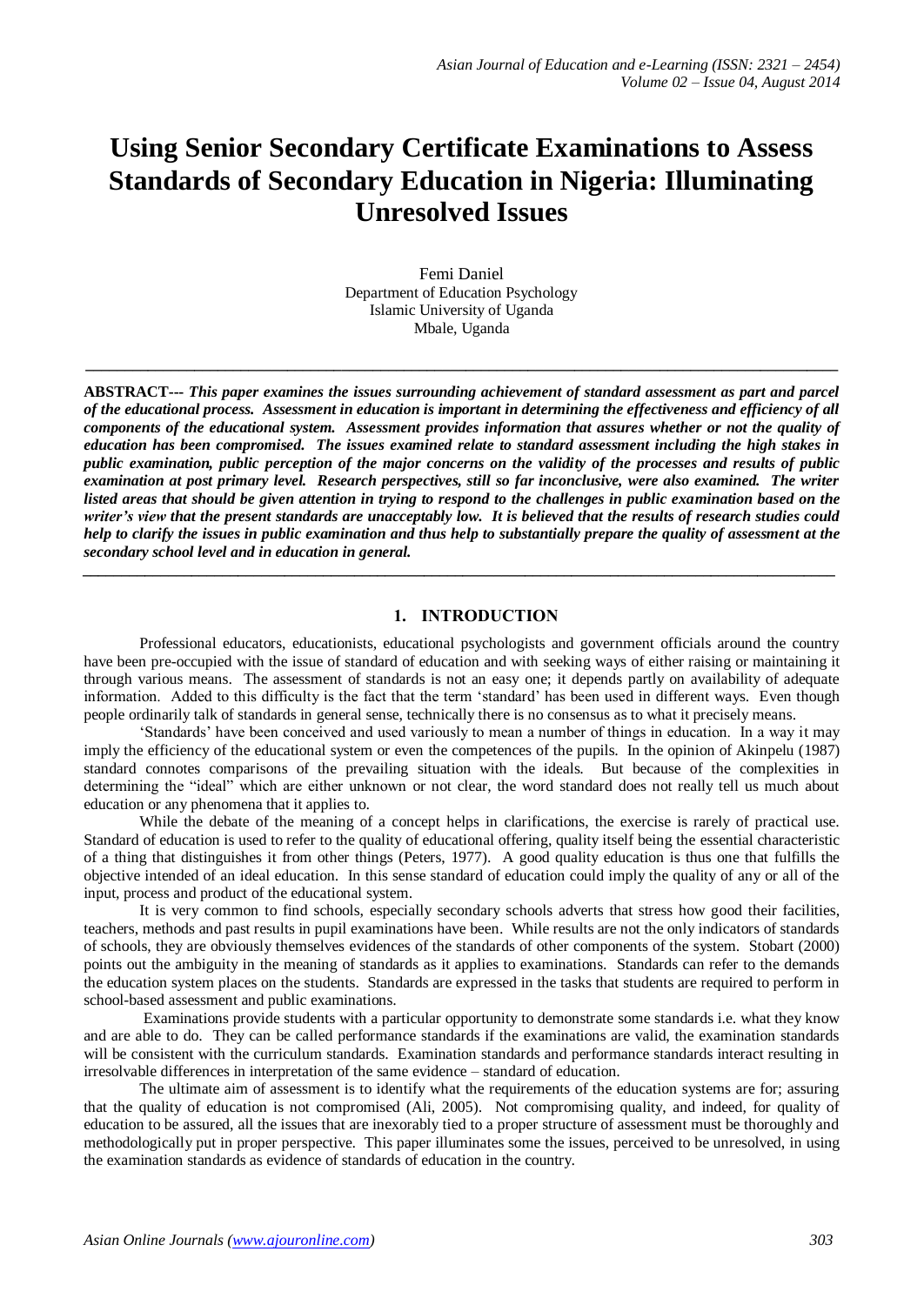# **Using Senior Secondary Certificate Examinations to Assess Standards of Secondary Education in Nigeria: Illuminating Unresolved Issues**

Femi Daniel Department of Education Psychology Islamic University of Uganda Mbale, Uganda

**\_\_\_\_\_\_\_\_\_\_\_\_\_\_\_\_\_\_\_\_\_\_\_\_\_\_\_\_\_\_\_\_\_\_\_\_\_\_\_\_\_\_\_\_\_\_\_\_\_\_\_\_\_\_\_\_\_\_\_\_\_\_\_\_\_\_\_\_\_\_\_\_\_\_\_\_\_\_\_\_\_\_\_\_\_\_\_\_\_\_\_\_\_\_\_\_\_**

**ABSTRACT---** *This paper examines the issues surrounding achievement of standard assessment as part and parcel of the educational process. Assessment in education is important in determining the effectiveness and efficiency of all components of the educational system. Assessment provides information that assures whether or not the quality of education has been compromised. The issues examined relate to standard assessment including the high stakes in public examination, public perception of the major concerns on the validity of the processes and results of public examination at post primary level. Research perspectives, still so far inconclusive, were also examined. The writer listed areas that should be given attention in trying to respond to the challenges in public examination based on the writer's view that the present standards are unacceptably low. It is believed that the results of research studies could help to clarify the issues in public examination and thus help to substantially prepare the quality of assessment at the secondary school level and in education in general.*

*\_\_\_\_\_\_\_\_\_\_\_\_\_\_\_\_\_\_\_\_\_\_\_\_\_\_\_\_\_\_\_\_\_\_\_\_\_\_\_\_\_\_\_\_\_\_\_\_\_\_\_\_\_\_\_\_\_\_\_\_\_\_\_\_\_\_\_\_\_\_\_\_\_\_\_\_\_\_\_\_\_\_\_\_\_\_\_\_\_\_\_\_\_\_\_\_\_*

#### **1. INTRODUCTION**

Professional educators, educationists, educational psychologists and government officials around the country have been pre-occupied with the issue of standard of education and with seeking ways of either raising or maintaining it through various means. The assessment of standards is not an easy one; it depends partly on availability of adequate information. Added to this difficulty is the fact that the term 'standard' has been used in different ways. Even though people ordinarily talk of standards in general sense, technically there is no consensus as to what it precisely means.

'Standards' have been conceived and used variously to mean a number of things in education. In a way it may imply the efficiency of the educational system or even the competences of the pupils. In the opinion of Akinpelu (1987) standard connotes comparisons of the prevailing situation with the ideals. But because of the complexities in determining the "ideal" which are either unknown or not clear, the word standard does not really tell us much about education or any phenomena that it applies to.

While the debate of the meaning of a concept helps in clarifications, the exercise is rarely of practical use. Standard of education is used to refer to the quality of educational offering, quality itself being the essential characteristic of a thing that distinguishes it from other things (Peters, 1977). A good quality education is thus one that fulfills the objective intended of an ideal education. In this sense standard of education could imply the quality of any or all of the input, process and product of the educational system.

It is very common to find schools, especially secondary schools adverts that stress how good their facilities, teachers, methods and past results in pupil examinations have been. While results are not the only indicators of standards of schools, they are obviously themselves evidences of the standards of other components of the system. Stobart (2000) points out the ambiguity in the meaning of standards as it applies to examinations. Standards can refer to the demands the education system places on the students. Standards are expressed in the tasks that students are required to perform in school-based assessment and public examinations.

Examinations provide students with a particular opportunity to demonstrate some standards i.e. what they know and are able to do. They can be called performance standards if the examinations are valid, the examination standards will be consistent with the curriculum standards. Examination standards and performance standards interact resulting in irresolvable differences in interpretation of the same evidence – standard of education.

The ultimate aim of assessment is to identify what the requirements of the education systems are for; assuring that the quality of education is not compromised (Ali, 2005). Not compromising quality, and indeed, for quality of education to be assured, all the issues that are inexorably tied to a proper structure of assessment must be thoroughly and methodologically put in proper perspective. This paper illuminates some the issues, perceived to be unresolved, in using the examination standards as evidence of standards of education in the country.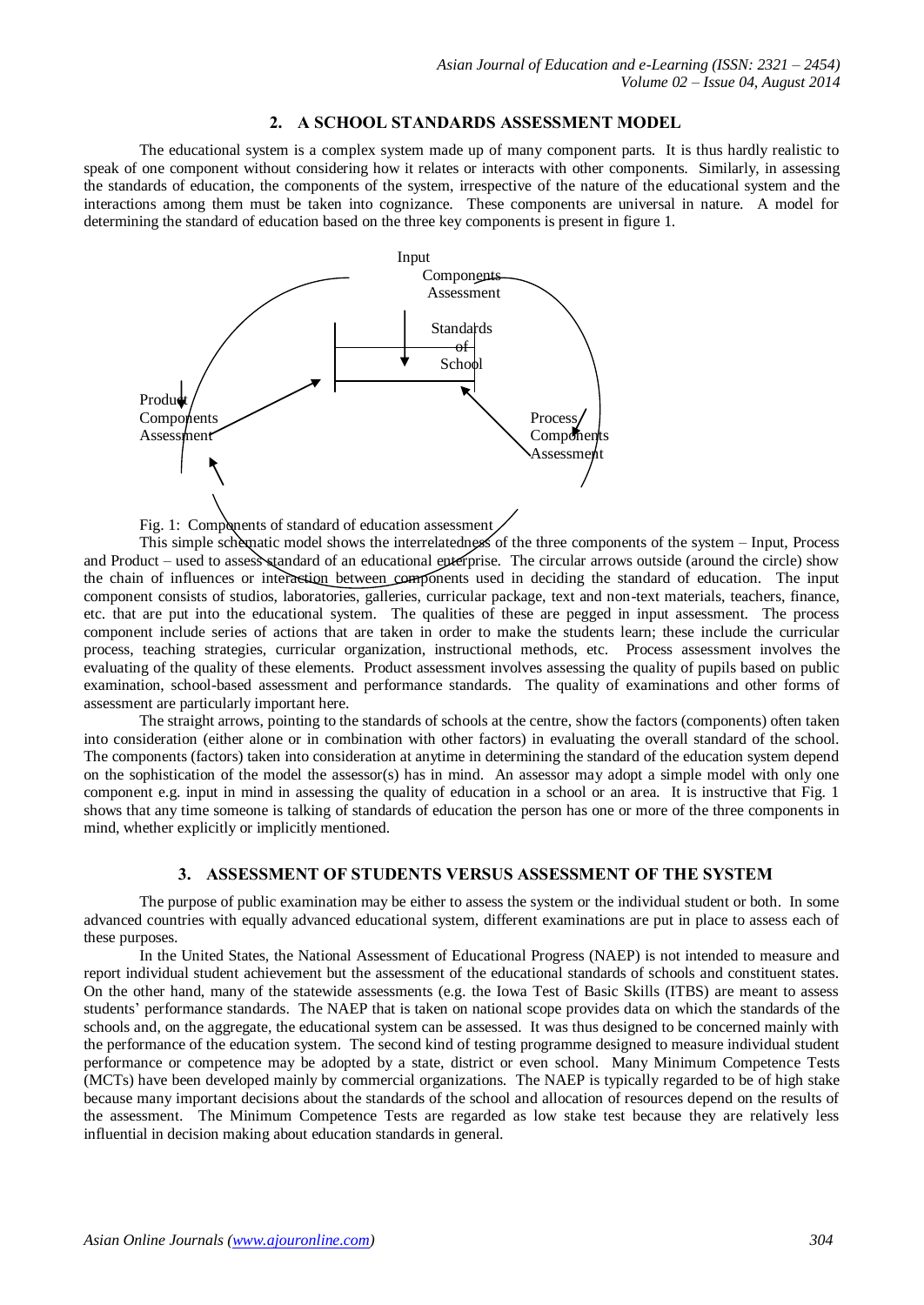#### **2. A SCHOOL STANDARDS ASSESSMENT MODEL**

The educational system is a complex system made up of many component parts. It is thus hardly realistic to speak of one component without considering how it relates or interacts with other components. Similarly, in assessing the standards of education, the components of the system, irrespective of the nature of the educational system and the interactions among them must be taken into cognizance. These components are universal in nature. A model for determining the standard of education based on the three key components is present in figure 1.



Fig. 1: Components of standard of education assessment

This simple schematic model shows the interrelatedness of the three components of the system – Input, Process and Product – used to assess standard of an educational enterprise. The circular arrows outside (around the circle) show the chain of influences or interaction between components used in deciding the standard of education. The input component consists of studios, laboratories, galleries, curricular package, text and non-text materials, teachers, finance, etc. that are put into the educational system. The qualities of these are pegged in input assessment. The process component include series of actions that are taken in order to make the students learn; these include the curricular process, teaching strategies, curricular organization, instructional methods, etc. Process assessment involves the evaluating of the quality of these elements. Product assessment involves assessing the quality of pupils based on public examination, school-based assessment and performance standards. The quality of examinations and other forms of assessment are particularly important here.

The straight arrows, pointing to the standards of schools at the centre, show the factors (components) often taken into consideration (either alone or in combination with other factors) in evaluating the overall standard of the school. The components (factors) taken into consideration at anytime in determining the standard of the education system depend on the sophistication of the model the assessor(s) has in mind. An assessor may adopt a simple model with only one component e.g. input in mind in assessing the quality of education in a school or an area. It is instructive that Fig. 1 shows that any time someone is talking of standards of education the person has one or more of the three components in mind, whether explicitly or implicitly mentioned.

## **3. ASSESSMENT OF STUDENTS VERSUS ASSESSMENT OF THE SYSTEM**

The purpose of public examination may be either to assess the system or the individual student or both. In some advanced countries with equally advanced educational system, different examinations are put in place to assess each of these purposes.

In the United States, the National Assessment of Educational Progress (NAEP) is not intended to measure and report individual student achievement but the assessment of the educational standards of schools and constituent states. On the other hand, many of the statewide assessments (e.g. the Iowa Test of Basic Skills (ITBS) are meant to assess students' performance standards. The NAEP that is taken on national scope provides data on which the standards of the schools and, on the aggregate, the educational system can be assessed. It was thus designed to be concerned mainly with the performance of the education system. The second kind of testing programme designed to measure individual student performance or competence may be adopted by a state, district or even school. Many Minimum Competence Tests (MCTs) have been developed mainly by commercial organizations. The NAEP is typically regarded to be of high stake because many important decisions about the standards of the school and allocation of resources depend on the results of the assessment. The Minimum Competence Tests are regarded as low stake test because they are relatively less influential in decision making about education standards in general.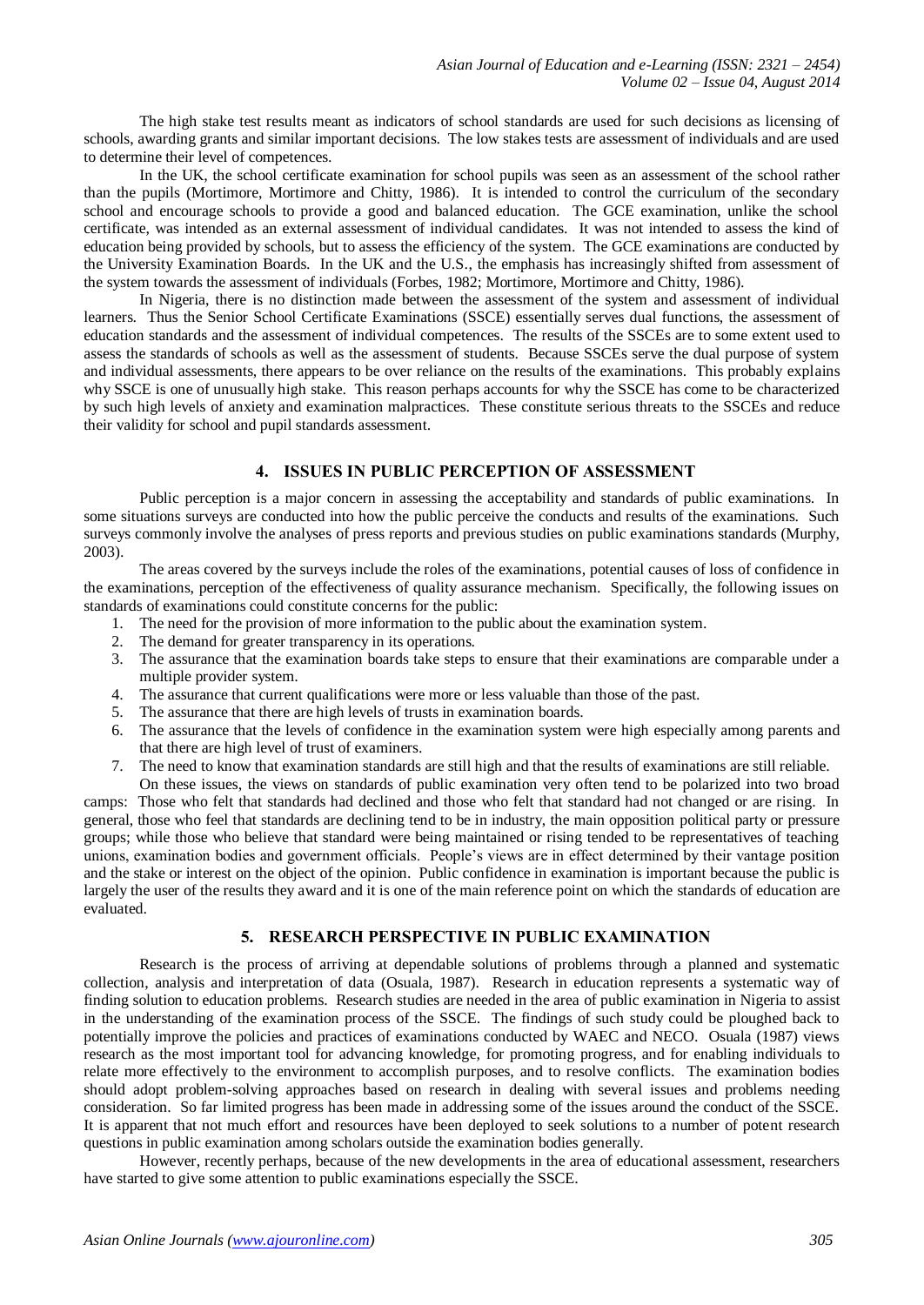The high stake test results meant as indicators of school standards are used for such decisions as licensing of schools, awarding grants and similar important decisions. The low stakes tests are assessment of individuals and are used to determine their level of competences.

In the UK, the school certificate examination for school pupils was seen as an assessment of the school rather than the pupils (Mortimore, Mortimore and Chitty, 1986). It is intended to control the curriculum of the secondary school and encourage schools to provide a good and balanced education. The GCE examination, unlike the school certificate, was intended as an external assessment of individual candidates. It was not intended to assess the kind of education being provided by schools, but to assess the efficiency of the system. The GCE examinations are conducted by the University Examination Boards. In the UK and the U.S., the emphasis has increasingly shifted from assessment of the system towards the assessment of individuals (Forbes, 1982; Mortimore, Mortimore and Chitty, 1986).

In Nigeria, there is no distinction made between the assessment of the system and assessment of individual learners. Thus the Senior School Certificate Examinations (SSCE) essentially serves dual functions, the assessment of education standards and the assessment of individual competences. The results of the SSCEs are to some extent used to assess the standards of schools as well as the assessment of students. Because SSCEs serve the dual purpose of system and individual assessments, there appears to be over reliance on the results of the examinations. This probably explains why SSCE is one of unusually high stake. This reason perhaps accounts for why the SSCE has come to be characterized by such high levels of anxiety and examination malpractices. These constitute serious threats to the SSCEs and reduce their validity for school and pupil standards assessment.

#### **4. ISSUES IN PUBLIC PERCEPTION OF ASSESSMENT**

Public perception is a major concern in assessing the acceptability and standards of public examinations. In some situations surveys are conducted into how the public perceive the conducts and results of the examinations. Such surveys commonly involve the analyses of press reports and previous studies on public examinations standards (Murphy, 2003).

The areas covered by the surveys include the roles of the examinations, potential causes of loss of confidence in the examinations, perception of the effectiveness of quality assurance mechanism. Specifically, the following issues on standards of examinations could constitute concerns for the public:

- 1. The need for the provision of more information to the public about the examination system.
- 2. The demand for greater transparency in its operations.
- 3. The assurance that the examination boards take steps to ensure that their examinations are comparable under a multiple provider system.
- 4. The assurance that current qualifications were more or less valuable than those of the past.
- 5. The assurance that there are high levels of trusts in examination boards.
- 6. The assurance that the levels of confidence in the examination system were high especially among parents and that there are high level of trust of examiners.
- 7. The need to know that examination standards are still high and that the results of examinations are still reliable.

On these issues, the views on standards of public examination very often tend to be polarized into two broad camps: Those who felt that standards had declined and those who felt that standard had not changed or are rising. In general, those who feel that standards are declining tend to be in industry, the main opposition political party or pressure groups; while those who believe that standard were being maintained or rising tended to be representatives of teaching unions, examination bodies and government officials. People's views are in effect determined by their vantage position and the stake or interest on the object of the opinion. Public confidence in examination is important because the public is largely the user of the results they award and it is one of the main reference point on which the standards of education are evaluated.

## **5. RESEARCH PERSPECTIVE IN PUBLIC EXAMINATION**

Research is the process of arriving at dependable solutions of problems through a planned and systematic collection, analysis and interpretation of data (Osuala, 1987). Research in education represents a systematic way of finding solution to education problems. Research studies are needed in the area of public examination in Nigeria to assist in the understanding of the examination process of the SSCE. The findings of such study could be ploughed back to potentially improve the policies and practices of examinations conducted by WAEC and NECO. Osuala (1987) views research as the most important tool for advancing knowledge, for promoting progress, and for enabling individuals to relate more effectively to the environment to accomplish purposes, and to resolve conflicts. The examination bodies should adopt problem-solving approaches based on research in dealing with several issues and problems needing consideration. So far limited progress has been made in addressing some of the issues around the conduct of the SSCE. It is apparent that not much effort and resources have been deployed to seek solutions to a number of potent research questions in public examination among scholars outside the examination bodies generally.

However, recently perhaps, because of the new developments in the area of educational assessment, researchers have started to give some attention to public examinations especially the SSCE.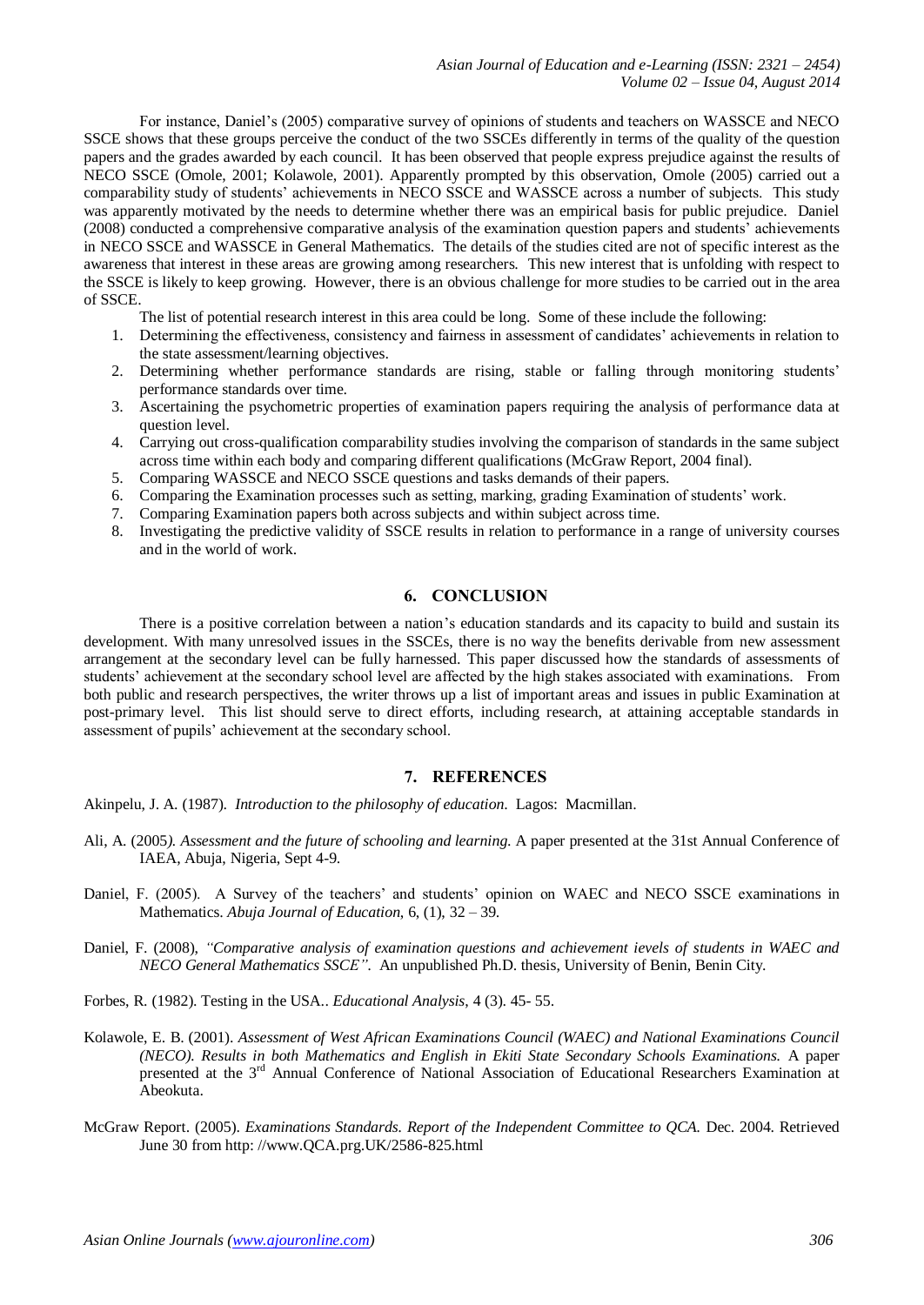For instance, Daniel's (2005) comparative survey of opinions of students and teachers on WASSCE and NECO SSCE shows that these groups perceive the conduct of the two SSCEs differently in terms of the quality of the question papers and the grades awarded by each council. It has been observed that people express prejudice against the results of NECO SSCE (Omole, 2001; Kolawole, 2001). Apparently prompted by this observation, Omole (2005) carried out a comparability study of students' achievements in NECO SSCE and WASSCE across a number of subjects. This study was apparently motivated by the needs to determine whether there was an empirical basis for public prejudice. Daniel (2008) conducted a comprehensive comparative analysis of the examination question papers and students' achievements in NECO SSCE and WASSCE in General Mathematics. The details of the studies cited are not of specific interest as the awareness that interest in these areas are growing among researchers. This new interest that is unfolding with respect to the SSCE is likely to keep growing. However, there is an obvious challenge for more studies to be carried out in the area of SSCE.

The list of potential research interest in this area could be long. Some of these include the following:

- 1. Determining the effectiveness, consistency and fairness in assessment of candidates' achievements in relation to the state assessment/learning objectives.
- 2. Determining whether performance standards are rising, stable or falling through monitoring students' performance standards over time.
- 3. Ascertaining the psychometric properties of examination papers requiring the analysis of performance data at question level.
- 4. Carrying out cross-qualification comparability studies involving the comparison of standards in the same subject across time within each body and comparing different qualifications (McGraw Report, 2004 final).
- 5. Comparing WASSCE and NECO SSCE questions and tasks demands of their papers.
- 6. Comparing the Examination processes such as setting, marking, grading Examination of students' work.
- 7. Comparing Examination papers both across subjects and within subject across time.
- 8. Investigating the predictive validity of SSCE results in relation to performance in a range of university courses and in the world of work.

### **6. CONCLUSION**

There is a positive correlation between a nation's education standards and its capacity to build and sustain its development. With many unresolved issues in the SSCEs, there is no way the benefits derivable from new assessment arrangement at the secondary level can be fully harnessed. This paper discussed how the standards of assessments of students' achievement at the secondary school level are affected by the high stakes associated with examinations. From both public and research perspectives, the writer throws up a list of important areas and issues in public Examination at post-primary level. This list should serve to direct efforts, including research, at attaining acceptable standards in assessment of pupils' achievement at the secondary school.

### **7. REFERENCES**

Akinpelu, J. A. (1987). *Introduction to the philosophy of education*. Lagos: Macmillan.

- Ali, A. (2005*). Assessment and the future of schooling and learning*. A paper presented at the 31st Annual Conference of IAEA, Abuja, Nigeria, Sept 4-9.
- Daniel, F. (2005). A Survey of the teachers' and students' opinion on WAEC and NECO SSCE examinations in Mathematics. *Abuja Journal of Education*, 6, (1), 32 – 39.
- Daniel, F. (2008), *"Comparative analysis of examination questions and achievement ievels of students in WAEC and NECO General Mathematics SSCE".* An unpublished Ph.D. thesis, University of Benin, Benin City.
- Forbes, R. (1982). Testing in the USA.. *Educational Analysis*, 4 (3). 45- 55.
- Kolawole, E. B. (2001). *Assessment of West African Examinations Council (WAEC) and National Examinations Council (NECO). Results in both Mathematics and English in Ekiti State Secondary Schools Examinations.* A paper presented at the 3<sup>rd</sup> Annual Conference of National Association of Educational Researchers Examination at Abeokuta.
- McGraw Report. (2005). *Examinations Standards. Report of the Independent Committee to QCA.* Dec. 2004. Retrieved June 30 from http: //www.QCA.prg.UK/2586-825.html